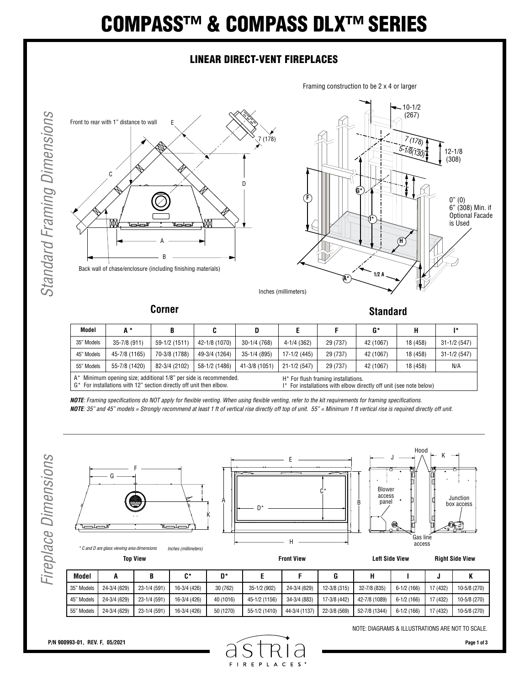# COMPASS™ & COMPASS DLX™ SERIES

### LINEAR DIRECT-VENT FIREPLACES





**Model A \* B C D E F G\* H I\*** 35" Models 35-7/8 (911) 59-1/2 (1511) 42-1/8 (1070) 30-1/4 (768) 4-1/4 (362) 29 (737) 42 (1067) 18 (458) 31-1/2 (547) 45" Models 45-7/8 (1165) 70-3/8 (1788) 49-3/4 (1264) 35-1/4 (895) 17-1/2 (445) 29 (737) 42 (1067) 18 (458) 31-1/2 (547) 55" Models | 55-7/8 (1420) | 82-3/4 (2102) | 58-1/2 (1486) | 41-3/8 (1051) | 21-1/2 (547) | 29 (737) | 42 (1067) | 18 (458) | N/A A\* Minimum opening size; additional 1/8" per side is recommended. G\* For installations with 12" section directly off unit then elbow. H\* For flush framing installations. I\* For installations with elbow directly off unit (see note below)

*NOTE: Framing specifications do NOT apply for flexible venting. When using flexible venting, refer to the kit requirements for framing specifications. NOTE: 35" and 45" models = Strongly recommend at least 1 ft of vertical rise directly off top of unit. 55" = Minimum 1 ft vertical rise is required directly off unit.*



| <b>Model</b> |              | B            | C*           | D*        |               |               | G            |               |              |          |              |
|--------------|--------------|--------------|--------------|-----------|---------------|---------------|--------------|---------------|--------------|----------|--------------|
| 35" Models   | 24-3/4 (629) | 23-1/4 (591) | 16-3/4 (426) | 30 (762)  | 35-1/2 (902)  | 24-3/4 (629)  | 12-3/8 (315) | 32-7/8 (835)  | $6-1/2(166)$ | 17 (432) | 10-5/8 (270) |
| 45" Models   | 24-3/4 (629) | 23-1/4 (591) | 16-3/4 (426) | 40 (1016) | 45-1/2 (1156) | 34-3/4 (883)  | 17-3/8 (442) | 42-7/8 (1089) | $6-1/2(166)$ | 17 (432) | 10-5/8 (270) |
| 55" Models   | 24-3/4 (629) | 23-1/4 (591) | 16-3/4 (426) | 50 (1270) | 55-1/2 (1410) | 44-3/4 (1137) | 22-3/8 (569) | 52-7/8 (1344) | $6-1/2(166)$ | 17 (432) | 10-5/8 (270) |

NOTE: DIAGRAMS & ILLUSTRATIONS ARE NOT TO SCALE.

S **FIREPLACES**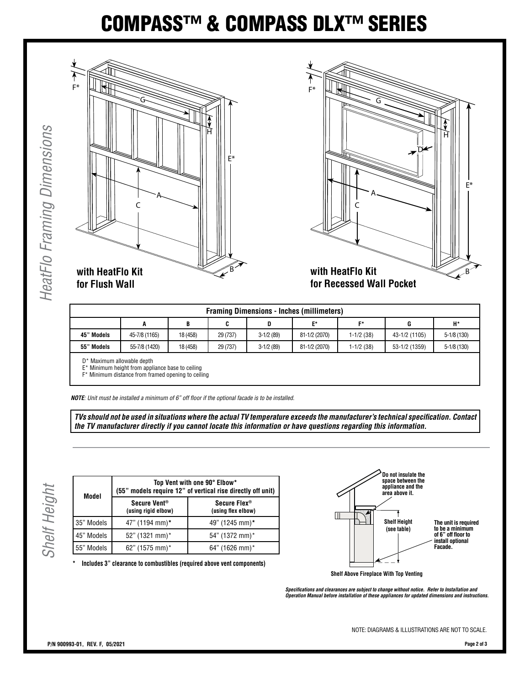## COMPASS™ & COMPASS DLX™ SERIES





| <b>Framing Dimensions - Inches (millimeters)</b> |               |          |          |             |               |              |               |              |  |
|--------------------------------------------------|---------------|----------|----------|-------------|---------------|--------------|---------------|--------------|--|
|                                                  | A             | В        | C        | D           | E*            | E*           | G             | H*           |  |
| 45" Models                                       | 45-7/8 (1165) | 18 (458) | 29 (737) | $3-1/2(89)$ | 81-1/2 (2070) | $1-1/2$ (38) | 43-1/2 (1105) | $5-1/8(130)$ |  |
| 55" Models                                       | 55-7/8 (1420) | 18 (458) | 29 (737) | $3-1/2(89)$ | 81-1/2 (2070) | $1-1/2$ (38) | 53-1/2 (1359) | $5-1/8(130)$ |  |
|                                                  |               |          |          |             |               |              |               |              |  |

D\* Maximum allowable depth

E\* Minimum height from appliance base to ceiling

F\* Minimum distance from framed opening to ceiling

*NOTE: Unit must be installed a minimum of 6" off floor if the optional facade is to be installed.*

*TVs should not be used in situations where the actual TV temperature exceeds the manufacturer's technical specification. Contact the TV manufacturer directly if you cannot locate this information or have questions regarding this information.*

| Model      | Top Vent with one 90° Elbow*<br>(55" models require 12" of vertical rise directly off unit) |                                                |  |  |  |  |
|------------|---------------------------------------------------------------------------------------------|------------------------------------------------|--|--|--|--|
|            | Secure Vent <sup>®</sup><br>(using rigid elbow)                                             | Secure Flex <sup>®</sup><br>(using flex elbow) |  |  |  |  |
| 35" Models | 47" (1194 mm)*                                                                              | 49" (1245 mm)*                                 |  |  |  |  |
| 45" Models | 52" (1321 mm)*                                                                              | 54" (1372 mm)*                                 |  |  |  |  |
| 55" Models | 62" (1575 mm)*                                                                              | 64" (1626 mm)*                                 |  |  |  |  |

**\* Includes 3" clearance to combustibles (required above vent components)**



**Shelf Above Fireplace With Top Venting**

*Specifications and clearances are subject to change without notice. Refer to Installation and Operation Manual before installation of these appliances for updated dimensions and instructions.*

NOTE: DIAGRAMS & ILLUSTRATIONS ARE NOT TO SCALE.